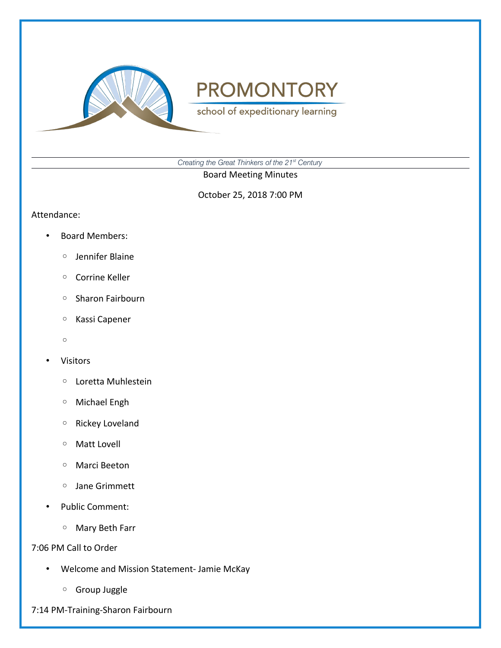

school of expeditionary learning

*Creating the Great Thinkers of the 21st Century*

Board Meeting Minutes

October 25, 2018 7:00 PM

Attendance:

- Board Members:
	- Jennifer Blaine
	- Corrine Keller
	- Sharon Fairbourn
	- Kassi Capener
	- $\circ$
- **Visitors** 
	- Loretta Muhlestein
	- Michael Engh
	- Rickey Loveland
	- Matt Lovell
	- Marci Beeton
	- Jane Grimmett
- Public Comment:
	- Mary Beth Farr

### 7:06 PM Call to Order

- Welcome and Mission Statement- Jamie McKay
	- Group Juggle

7:14 PM-Training-Sharon Fairbourn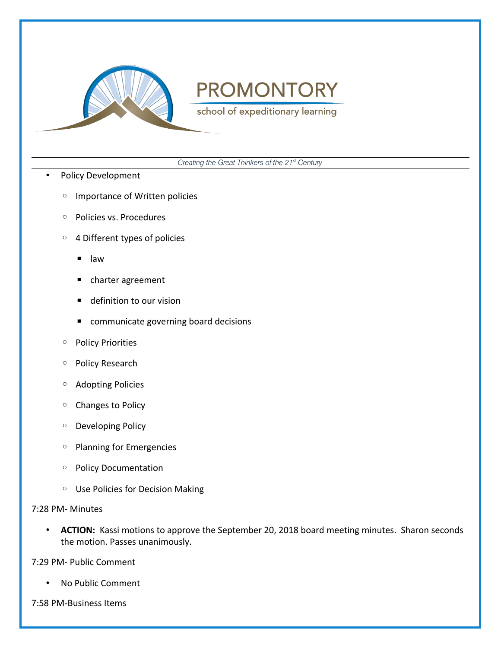

school of expeditionary learning

*Creating the Great Thinkers of the 21st Century*

- Policy Development
	- Importance of Written policies
	- Policies vs. Procedures
	- 4 Different types of policies
		- law
		- charter agreement
		- definition to our vision
		- communicate governing board decisions
	- Policy Priorities
	- Policy Research
	- Adopting Policies
	- Changes to Policy
	- Developing Policy
	- Planning for Emergencies
	- Policy Documentation
	- Use Policies for Decision Making

#### 7:28 PM- Minutes

• **ACTION:** Kassi motions to approve the September 20, 2018 board meeting minutes. Sharon seconds the motion. Passes unanimously.

7:29 PM- Public Comment

- No Public Comment
- 7:58 PM-Business Items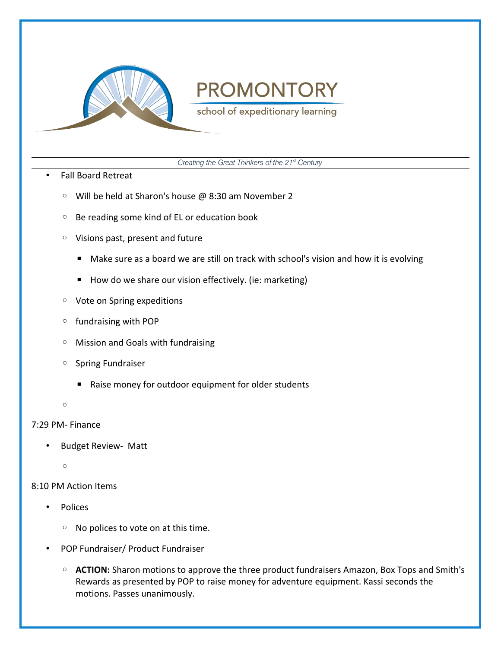

school of expeditionary learning

*Creating the Great Thinkers of the 21st Century*

- Fall Board Retreat
	- Will be held at Sharon's house @ 8:30 am November 2
	- Be reading some kind of EL or education book
	- Visions past, present and future
		- Make sure as a board we are still on track with school's vision and how it is evolving
		- How do we share our vision effectively. (ie: marketing)
	- Vote on Spring expeditions
	- fundraising with POP
	- Mission and Goals with fundraising
	- Spring Fundraiser
		- Raise money for outdoor equipment for older students

 $\circ$ 

#### 7:29 PM- Finance

• Budget Review- Matt

 $\circ$ 

#### 8:10 PM Action Items

- Polices
	- No polices to vote on at this time.
- POP Fundraiser/ Product Fundraiser
	- **ACTION:** Sharon motions to approve the three product fundraisers Amazon, Box Tops and Smith's Rewards as presented by POP to raise money for adventure equipment. Kassi seconds the motions. Passes unanimously.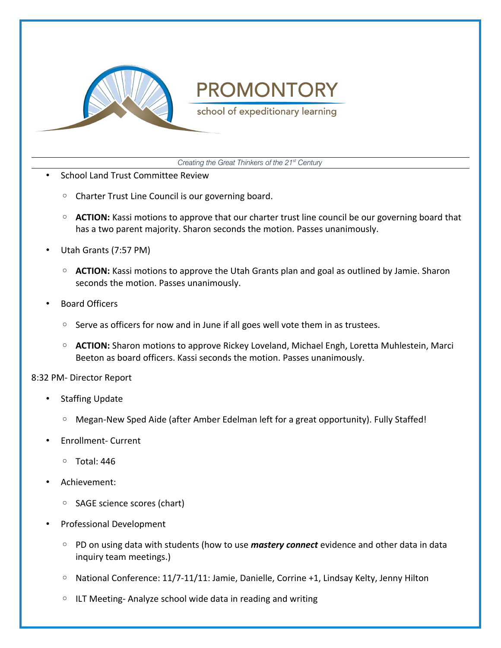

school of expeditionary learning

*Creating the Great Thinkers of the 21st Century*

- School Land Trust Committee Review
	- Charter Trust Line Council is our governing board.
	- **ACTION:** Kassi motions to approve that our charter trust line council be our governing board that has a two parent majority. Sharon seconds the motion. Passes unanimously.
- Utah Grants (7:57 PM)
	- **ACTION:** Kassi motions to approve the Utah Grants plan and goal as outlined by Jamie. Sharon seconds the motion. Passes unanimously.
- Board Officers
	- Serve as officers for now and in June if all goes well vote them in as trustees.
	- **ACTION:** Sharon motions to approve Rickey Loveland, Michael Engh, Loretta Muhlestein, Marci Beeton as board officers. Kassi seconds the motion. Passes unanimously.

8:32 PM- Director Report

- Staffing Update
	- Megan-New Sped Aide (after Amber Edelman left for a great opportunity). Fully Staffed!
- Enrollment- Current
	- Total: 446
- Achievement:
	- SAGE science scores (chart)
- Professional Development
	- PD on using data with students (how to use *mastery connect* evidence and other data in data inquiry team meetings.)
	- National Conference: 11/7-11/11: Jamie, Danielle, Corrine +1, Lindsay Kelty, Jenny Hilton
	- ILT Meeting- Analyze school wide data in reading and writing